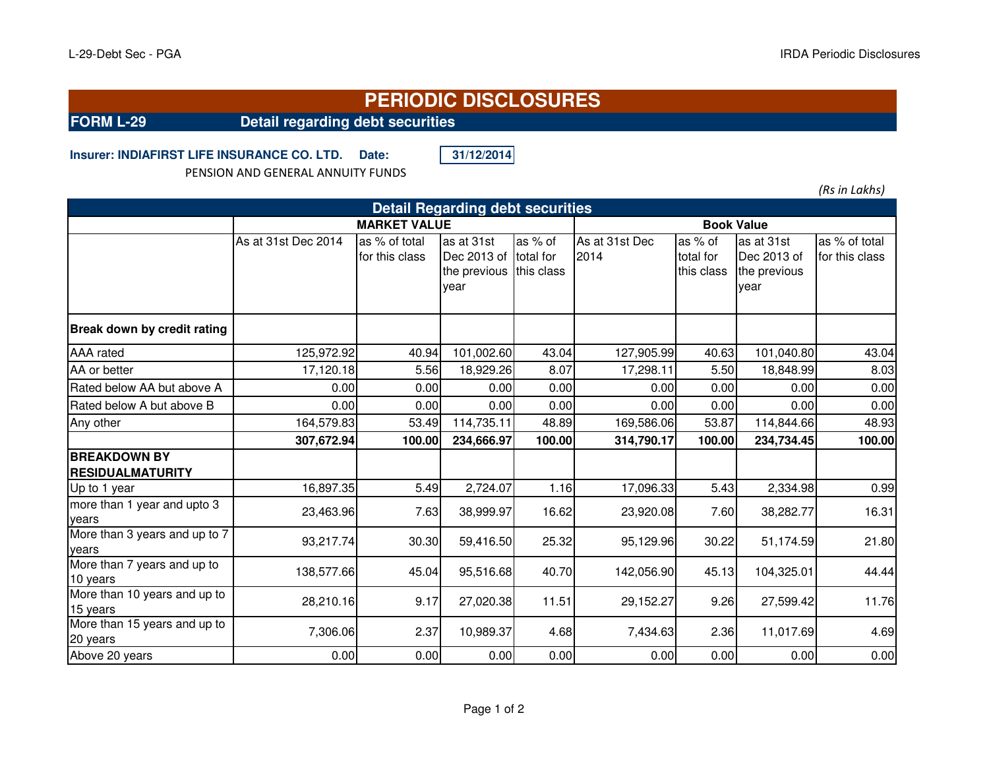## **PERIODIC DISCLOSURES**

**FORM L-29 Detail regarding debt securities**

**Insurer: INDIAFIRST LIFE INSURANCE CO. LTD. Date: 31/12/2014**

PENSION AND GENERAL ANNUITY FUNDS

*(Rs in Lakhs)*

| <b>Detail Regarding debt securities</b>        |                     |                                 |                                                   |                                      |                        |                                    |                                                   |                                 |  |  |  |
|------------------------------------------------|---------------------|---------------------------------|---------------------------------------------------|--------------------------------------|------------------------|------------------------------------|---------------------------------------------------|---------------------------------|--|--|--|
|                                                | <b>MARKET VALUE</b> | <b>Book Value</b>               |                                                   |                                      |                        |                                    |                                                   |                                 |  |  |  |
|                                                | As at 31st Dec 2014 | as % of total<br>for this class | as at 31st<br>Dec 2013 of<br>the previous<br>year | as $%$ of<br>total for<br>this class | As at 31st Dec<br>2014 | as % of<br>total for<br>this class | as at 31st<br>Dec 2013 of<br>the previous<br>year | as % of total<br>for this class |  |  |  |
| Break down by credit rating                    |                     |                                 |                                                   |                                      |                        |                                    |                                                   |                                 |  |  |  |
| <b>AAA</b> rated                               | 125,972.92          | 40.94                           | 101,002.60                                        | 43.04                                | 127,905.99             | 40.63                              | 101,040.80                                        | 43.04                           |  |  |  |
| AA or better                                   | 17,120.18           | 5.56                            | 18,929.26                                         | 8.07                                 | 17,298.11              | 5.50                               | 18,848.99                                         | 8.03                            |  |  |  |
| Rated below AA but above A                     | 0.00                | 0.00                            | 0.00                                              | 0.00                                 | 0.00                   | 0.00                               | 0.00                                              | 0.00                            |  |  |  |
| Rated below A but above B                      | 0.00                | 0.00                            | 0.00                                              | 0.00                                 | 0.00                   | 0.00                               | 0.00                                              | 0.00                            |  |  |  |
| Any other                                      | 164,579.83          | 53.49                           | 114,735.11                                        | 48.89                                | 169,586.06             | 53.87                              | 114,844.66                                        | 48.93                           |  |  |  |
|                                                | 307,672.94          | 100.00                          | 234,666.97                                        | 100.00                               | 314,790.17             | 100.00                             | 234,734.45                                        | 100.00                          |  |  |  |
| <b>BREAKDOWN BY</b><br><b>RESIDUALMATURITY</b> |                     |                                 |                                                   |                                      |                        |                                    |                                                   |                                 |  |  |  |
| Up to 1 year                                   | 16,897.35           | 5.49                            | 2,724.07                                          | 1.16                                 | 17,096.33              | 5.43                               | 2,334.98                                          | 0.99                            |  |  |  |
| more than 1 year and upto 3<br>years           | 23,463.96           | 7.63                            | 38,999.97                                         | 16.62                                | 23,920.08              | 7.60                               | 38,282.77                                         | 16.31                           |  |  |  |
| More than 3 years and up to 7<br>years         | 93,217.74           | 30.30                           | 59,416.50                                         | 25.32                                | 95,129.96              | 30.22                              | 51,174.59                                         | 21.80                           |  |  |  |
| More than 7 years and up to<br>10 years        | 138,577.66          | 45.04                           | 95,516.68                                         | 40.70                                | 142,056.90             | 45.13                              | 104,325.01                                        | 44.44                           |  |  |  |
| More than 10 years and up to<br>15 years       | 28,210.16           | 9.17                            | 27,020.38                                         | 11.51                                | 29,152.27              | 9.26                               | 27,599.42                                         | 11.76                           |  |  |  |
| More than 15 years and up to<br>20 years       | 7,306.06            | 2.37                            | 10,989.37                                         | 4.68                                 | 7,434.63               | 2.36                               | 11,017.69                                         | 4.69                            |  |  |  |
| Above 20 years                                 | 0.00                | 0.00                            | 0.00                                              | 0.00                                 | 0.00                   | 0.00                               | 0.00                                              | 0.00                            |  |  |  |